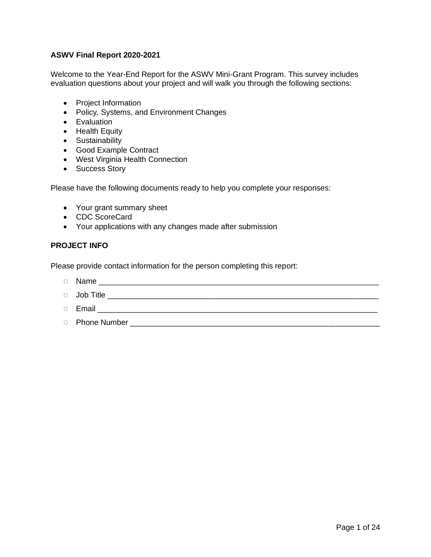# **ASWV Final Report 2020-2021**

Welcome to the Year-End Report for the ASWV Mini-Grant Program. This survey includes evaluation questions about your project and will walk you through the following sections:

- Project Information
- Policy, Systems, and Environment Changes
- Evaluation
- Health Equity
- Sustainability
- Good Example Contract
- West Virginia Health Connection
- Success Story

Please have the following documents ready to help you complete your responses:

- Your grant summary sheet
- CDC ScoreCard
- Your applications with any changes made after submission

## **PROJECT INFO**

Please provide contact information for the person completing this report:

- o Name \_\_\_\_\_\_\_\_\_\_\_\_\_\_\_\_\_\_\_\_\_\_\_\_\_\_\_\_\_\_\_\_\_\_\_\_\_\_\_\_\_\_\_\_\_\_\_\_\_\_\_\_\_\_\_\_\_\_\_\_\_\_\_\_\_
- $\circ$  Job Title  $\circ$
- o Email \_\_\_\_\_\_\_\_\_\_\_\_\_\_\_\_\_\_\_\_\_\_\_\_\_\_\_\_\_\_\_\_\_\_\_\_\_\_\_\_\_\_\_\_\_\_\_\_\_\_\_\_\_\_\_\_\_\_\_\_\_\_\_\_\_
- o Phone Number \_\_\_\_\_\_\_\_\_\_\_\_\_\_\_\_\_\_\_\_\_\_\_\_\_\_\_\_\_\_\_\_\_\_\_\_\_\_\_\_\_\_\_\_\_\_\_\_\_\_\_\_\_\_\_\_\_\_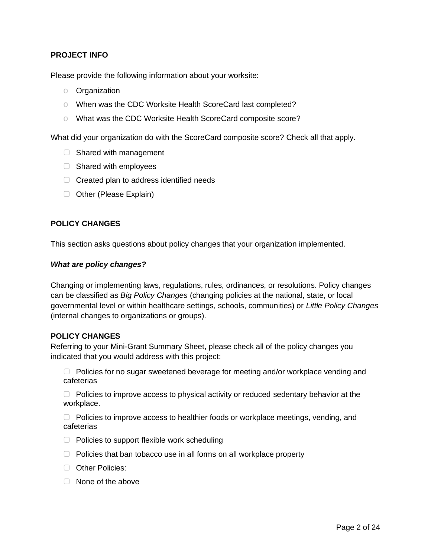# **PROJECT INFO**

Please provide the following information about your worksite:

- o Organization
- o When was the CDC Worksite Health ScoreCard last completed?
- o What was the CDC Worksite Health ScoreCard composite score?

What did your organization do with the ScoreCard composite score? Check all that apply.

- □ Shared with management
- □ Shared with employees
- $\Box$  Created plan to address identified needs
- ▢ Other (Please Explain)

## **POLICY CHANGES**

This section asks questions about policy changes that your organization implemented.

#### *What are policy changes?*

Changing or implementing laws, regulations, rules, ordinances, or resolutions. Policy changes can be classified as *Big Policy Changes* (changing policies at the national, state, or local governmental level or within healthcare settings, schools, communities) or *Little Policy Changes* (internal changes to organizations or groups).

#### **POLICY CHANGES**

Referring to your Mini-Grant Summary Sheet, please check all of the policy changes you indicated that you would address with this project:

▢ Policies for no sugar sweetened beverage for meeting and/or workplace vending and cafeterias

▢ Policies to improve access to physical activity or reduced sedentary behavior at the workplace.

▢ Policies to improve access to healthier foods or workplace meetings, vending, and cafeterias

- ▢ Policies to support flexible work scheduling
- ▢ Policies that ban tobacco use in all forms on all workplace property
- ▢ Other Policies:
- ▢ None of the above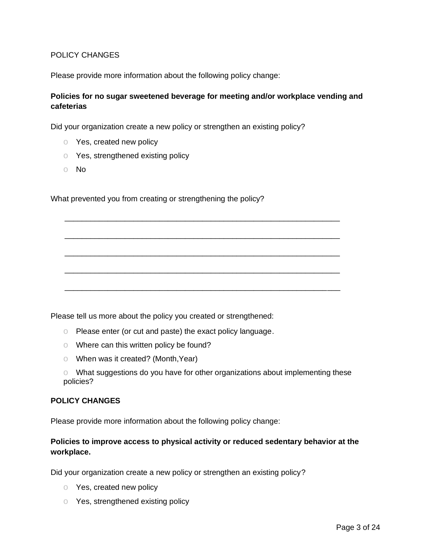## POLICY CHANGES

Please provide more information about the following policy change:

# **Policies for no sugar sweetened beverage for meeting and/or workplace vending and cafeterias**

\_\_\_\_\_\_\_\_\_\_\_\_\_\_\_\_\_\_\_\_\_\_\_\_\_\_\_\_\_\_\_\_\_\_\_\_\_\_\_\_\_\_\_\_\_\_\_\_\_\_\_\_\_\_\_\_\_\_\_\_\_\_\_\_

\_\_\_\_\_\_\_\_\_\_\_\_\_\_\_\_\_\_\_\_\_\_\_\_\_\_\_\_\_\_\_\_\_\_\_\_\_\_\_\_\_\_\_\_\_\_\_\_\_\_\_\_\_\_\_\_\_\_\_\_\_\_\_\_

\_\_\_\_\_\_\_\_\_\_\_\_\_\_\_\_\_\_\_\_\_\_\_\_\_\_\_\_\_\_\_\_\_\_\_\_\_\_\_\_\_\_\_\_\_\_\_\_\_\_\_\_\_\_\_\_\_\_\_\_\_\_\_\_

\_\_\_\_\_\_\_\_\_\_\_\_\_\_\_\_\_\_\_\_\_\_\_\_\_\_\_\_\_\_\_\_\_\_\_\_\_\_\_\_\_\_\_\_\_\_\_\_\_\_\_\_\_\_\_\_\_\_\_\_\_\_\_\_

\_\_\_\_\_\_\_\_\_\_\_\_\_\_\_\_\_\_\_\_\_\_\_\_\_\_\_\_\_\_\_\_\_\_\_\_\_\_\_\_\_\_\_\_\_\_\_\_\_\_\_\_\_\_\_\_\_\_\_\_\_\_\_\_

Did your organization create a new policy or strengthen an existing policy?

- o Yes, created new policy
- o Yes, strengthened existing policy
- o No

What prevented you from creating or strengthening the policy?

Please tell us more about the policy you created or strengthened:

- o Please enter (or cut and paste) the exact policy language.
- o Where can this written policy be found?
- o When was it created? (Month,Year)
- o What suggestions do you have for other organizations about implementing these policies?

#### **POLICY CHANGES**

Please provide more information about the following policy change:

# **Policies to improve access to physical activity or reduced sedentary behavior at the workplace.**

Did your organization create a new policy or strengthen an existing policy?

- o Yes, created new policy
- o Yes, strengthened existing policy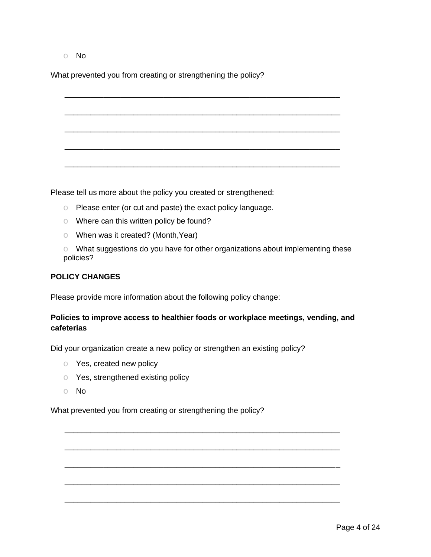o No

What prevented you from creating or strengthening the policy?

\_\_\_\_\_\_\_\_\_\_\_\_\_\_\_\_\_\_\_\_\_\_\_\_\_\_\_\_\_\_\_\_\_\_\_\_\_\_\_\_\_\_\_\_\_\_\_\_\_\_\_\_\_\_\_\_\_\_\_\_\_\_\_\_ \_\_\_\_\_\_\_\_\_\_\_\_\_\_\_\_\_\_\_\_\_\_\_\_\_\_\_\_\_\_\_\_\_\_\_\_\_\_\_\_\_\_\_\_\_\_\_\_\_\_\_\_\_\_\_\_\_\_\_\_\_\_\_\_ \_\_\_\_\_\_\_\_\_\_\_\_\_\_\_\_\_\_\_\_\_\_\_\_\_\_\_\_\_\_\_\_\_\_\_\_\_\_\_\_\_\_\_\_\_\_\_\_\_\_\_\_\_\_\_\_\_\_\_\_\_\_\_\_ \_\_\_\_\_\_\_\_\_\_\_\_\_\_\_\_\_\_\_\_\_\_\_\_\_\_\_\_\_\_\_\_\_\_\_\_\_\_\_\_\_\_\_\_\_\_\_\_\_\_\_\_\_\_\_\_\_\_\_\_\_\_\_\_ \_\_\_\_\_\_\_\_\_\_\_\_\_\_\_\_\_\_\_\_\_\_\_\_\_\_\_\_\_\_\_\_\_\_\_\_\_\_\_\_\_\_\_\_\_\_\_\_\_\_\_\_\_\_\_\_\_\_\_\_\_\_\_\_

Please tell us more about the policy you created or strengthened:

- o Please enter (or cut and paste) the exact policy language.
- o Where can this written policy be found?
- o When was it created? (Month,Year)
- o What suggestions do you have for other organizations about implementing these policies?

# **POLICY CHANGES**

Please provide more information about the following policy change:

# **Policies to improve access to healthier foods or workplace meetings, vending, and cafeterias**

\_\_\_\_\_\_\_\_\_\_\_\_\_\_\_\_\_\_\_\_\_\_\_\_\_\_\_\_\_\_\_\_\_\_\_\_\_\_\_\_\_\_\_\_\_\_\_\_\_\_\_\_\_\_\_\_\_\_\_\_\_\_\_\_

\_\_\_\_\_\_\_\_\_\_\_\_\_\_\_\_\_\_\_\_\_\_\_\_\_\_\_\_\_\_\_\_\_\_\_\_\_\_\_\_\_\_\_\_\_\_\_\_\_\_\_\_\_\_\_\_\_\_\_\_\_\_\_\_

\_\_\_\_\_\_\_\_\_\_\_\_\_\_\_\_\_\_\_\_\_\_\_\_\_\_\_\_\_\_\_\_\_\_\_\_\_\_\_\_\_\_\_\_\_\_\_\_\_\_\_\_\_\_\_\_\_\_\_\_\_\_\_\_

\_\_\_\_\_\_\_\_\_\_\_\_\_\_\_\_\_\_\_\_\_\_\_\_\_\_\_\_\_\_\_\_\_\_\_\_\_\_\_\_\_\_\_\_\_\_\_\_\_\_\_\_\_\_\_\_\_\_\_\_\_\_\_\_

\_\_\_\_\_\_\_\_\_\_\_\_\_\_\_\_\_\_\_\_\_\_\_\_\_\_\_\_\_\_\_\_\_\_\_\_\_\_\_\_\_\_\_\_\_\_\_\_\_\_\_\_\_\_\_\_\_\_\_\_\_\_\_\_

Did your organization create a new policy or strengthen an existing policy?

- o Yes, created new policy
- o Yes, strengthened existing policy
- o No

What prevented you from creating or strengthening the policy?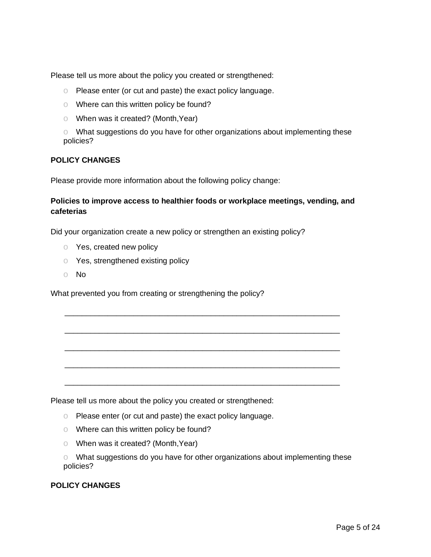Please tell us more about the policy you created or strengthened:

- o Please enter (or cut and paste) the exact policy language.
- o Where can this written policy be found?
- o When was it created? (Month,Year)
- o What suggestions do you have for other organizations about implementing these policies?

## **POLICY CHANGES**

Please provide more information about the following policy change:

# **Policies to improve access to healthier foods or workplace meetings, vending, and cafeterias**

\_\_\_\_\_\_\_\_\_\_\_\_\_\_\_\_\_\_\_\_\_\_\_\_\_\_\_\_\_\_\_\_\_\_\_\_\_\_\_\_\_\_\_\_\_\_\_\_\_\_\_\_\_\_\_\_\_\_\_\_\_\_\_\_

\_\_\_\_\_\_\_\_\_\_\_\_\_\_\_\_\_\_\_\_\_\_\_\_\_\_\_\_\_\_\_\_\_\_\_\_\_\_\_\_\_\_\_\_\_\_\_\_\_\_\_\_\_\_\_\_\_\_\_\_\_\_\_\_

\_\_\_\_\_\_\_\_\_\_\_\_\_\_\_\_\_\_\_\_\_\_\_\_\_\_\_\_\_\_\_\_\_\_\_\_\_\_\_\_\_\_\_\_\_\_\_\_\_\_\_\_\_\_\_\_\_\_\_\_\_\_\_\_

\_\_\_\_\_\_\_\_\_\_\_\_\_\_\_\_\_\_\_\_\_\_\_\_\_\_\_\_\_\_\_\_\_\_\_\_\_\_\_\_\_\_\_\_\_\_\_\_\_\_\_\_\_\_\_\_\_\_\_\_\_\_\_\_

\_\_\_\_\_\_\_\_\_\_\_\_\_\_\_\_\_\_\_\_\_\_\_\_\_\_\_\_\_\_\_\_\_\_\_\_\_\_\_\_\_\_\_\_\_\_\_\_\_\_\_\_\_\_\_\_\_\_\_\_\_\_\_\_

Did your organization create a new policy or strengthen an existing policy?

- o Yes, created new policy
- o Yes, strengthened existing policy
- o No

What prevented you from creating or strengthening the policy?

Please tell us more about the policy you created or strengthened:

- o Please enter (or cut and paste) the exact policy language.
- o Where can this written policy be found?
- o When was it created? (Month,Year)

o What suggestions do you have for other organizations about implementing these policies?

## **POLICY CHANGES**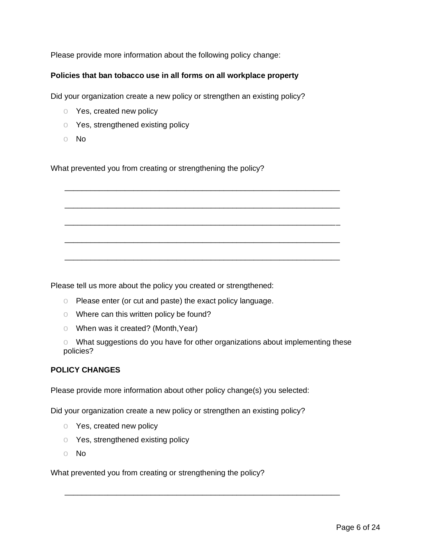Please provide more information about the following policy change:

# **Policies that ban tobacco use in all forms on all workplace property**

Did your organization create a new policy or strengthen an existing policy?

- o Yes, created new policy
- o Yes, strengthened existing policy
- o No

What prevented you from creating or strengthening the policy?

Please tell us more about the policy you created or strengthened:

- o Please enter (or cut and paste) the exact policy language.
- o Where can this written policy be found?
- o When was it created? (Month,Year)

o What suggestions do you have for other organizations about implementing these policies?

\_\_\_\_\_\_\_\_\_\_\_\_\_\_\_\_\_\_\_\_\_\_\_\_\_\_\_\_\_\_\_\_\_\_\_\_\_\_\_\_\_\_\_\_\_\_\_\_\_\_\_\_\_\_\_\_\_\_\_\_\_\_\_\_

\_\_\_\_\_\_\_\_\_\_\_\_\_\_\_\_\_\_\_\_\_\_\_\_\_\_\_\_\_\_\_\_\_\_\_\_\_\_\_\_\_\_\_\_\_\_\_\_\_\_\_\_\_\_\_\_\_\_\_\_\_\_\_\_

\_\_\_\_\_\_\_\_\_\_\_\_\_\_\_\_\_\_\_\_\_\_\_\_\_\_\_\_\_\_\_\_\_\_\_\_\_\_\_\_\_\_\_\_\_\_\_\_\_\_\_\_\_\_\_\_\_\_\_\_\_\_\_\_

\_\_\_\_\_\_\_\_\_\_\_\_\_\_\_\_\_\_\_\_\_\_\_\_\_\_\_\_\_\_\_\_\_\_\_\_\_\_\_\_\_\_\_\_\_\_\_\_\_\_\_\_\_\_\_\_\_\_\_\_\_\_\_\_

\_\_\_\_\_\_\_\_\_\_\_\_\_\_\_\_\_\_\_\_\_\_\_\_\_\_\_\_\_\_\_\_\_\_\_\_\_\_\_\_\_\_\_\_\_\_\_\_\_\_\_\_\_\_\_\_\_\_\_\_\_\_\_\_

\_\_\_\_\_\_\_\_\_\_\_\_\_\_\_\_\_\_\_\_\_\_\_\_\_\_\_\_\_\_\_\_\_\_\_\_\_\_\_\_\_\_\_\_\_\_\_\_\_\_\_\_\_\_\_\_\_\_\_\_\_\_\_\_

# **POLICY CHANGES**

Please provide more information about other policy change(s) you selected:

Did your organization create a new policy or strengthen an existing policy?

- o Yes, created new policy
- o Yes, strengthened existing policy
- o No

What prevented you from creating or strengthening the policy?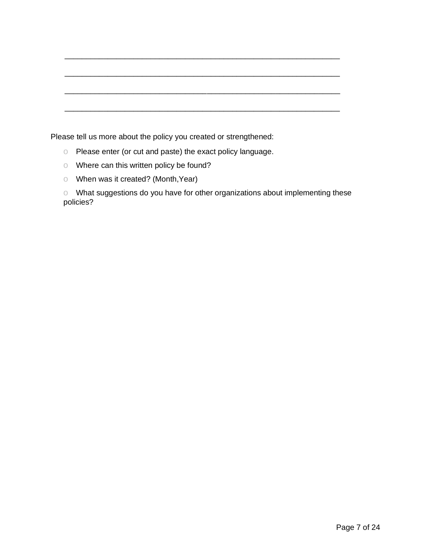| والمحافظ والمستحقق المستحيل والمستحدث والمستحق المستحقق والمستحقة والمستحدث والمستحقة والمستحقة المستحقة والمستحدة |  |  |
|--------------------------------------------------------------------------------------------------------------------|--|--|
|                                                                                                                    |  |  |

\_\_\_\_\_\_\_\_\_\_\_\_\_\_\_\_\_\_\_\_\_\_\_\_\_\_\_\_\_\_\_\_\_\_\_\_\_\_\_\_\_\_\_\_\_\_\_\_\_\_\_\_\_\_\_\_\_\_\_\_\_\_\_\_

Please tell us more about the policy you created or strengthened:

- o Please enter (or cut and paste) the exact policy language.
- o Where can this written policy be found?
- o When was it created? (Month,Year)

o What suggestions do you have for other organizations about implementing these policies?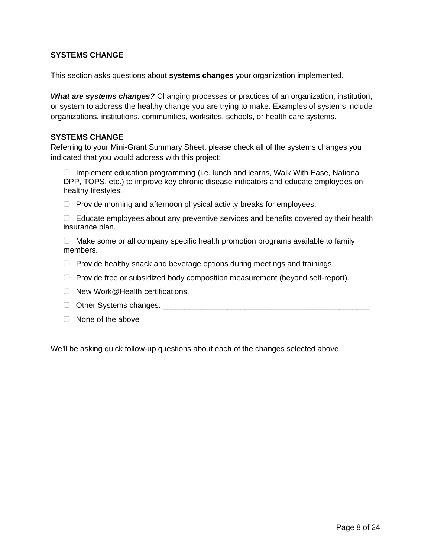# **SYSTEMS CHANGE**

This section asks questions about **systems changes** your organization implemented.

*What are systems changes?* Changing processes or practices of an organization, institution, or system to address the healthy change you are trying to make. Examples of systems include organizations, institutions, communities, worksites, schools, or health care systems.

# **SYSTEMS CHANGE**

Referring to your Mini-Grant Summary Sheet, please check all of the systems changes you indicated that you would address with this project:

▢ Implement education programming (i.e. lunch and learns, Walk With Ease, National DPP, TOPS, etc.) to improve key chronic disease indicators and educate employees on healthy lifestyles.

▢ Provide morning and afternoon physical activity breaks for employees.

 $\Box$  Educate employees about any preventive services and benefits covered by their health insurance plan.

 $\Box$  Make some or all company specific health promotion programs available to family members.

- $\Box$  Provide healthy snack and beverage options during meetings and trainings.
- ▢ Provide free or subsidized body composition measurement (beyond self-report).
- ▢ New Work@Health certifications.
- □ Other Systems changes: \_\_\_\_\_\_\_\_\_
- ▢ None of the above

We'll be asking quick follow-up questions about each of the changes selected above.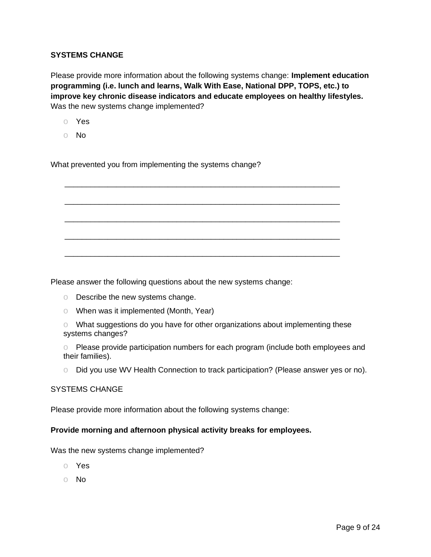# **SYSTEMS CHANGE**

Please provide more information about the following systems change: **Implement education programming (i.e. lunch and learns, Walk With Ease, National DPP, TOPS, etc.) to improve key chronic disease indicators and educate employees on healthy lifestyles.** Was the new systems change implemented?

\_\_\_\_\_\_\_\_\_\_\_\_\_\_\_\_\_\_\_\_\_\_\_\_\_\_\_\_\_\_\_\_\_\_\_\_\_\_\_\_\_\_\_\_\_\_\_\_\_\_\_\_\_\_\_\_\_\_\_\_\_\_\_\_

\_\_\_\_\_\_\_\_\_\_\_\_\_\_\_\_\_\_\_\_\_\_\_\_\_\_\_\_\_\_\_\_\_\_\_\_\_\_\_\_\_\_\_\_\_\_\_\_\_\_\_\_\_\_\_\_\_\_\_\_\_\_\_\_

\_\_\_\_\_\_\_\_\_\_\_\_\_\_\_\_\_\_\_\_\_\_\_\_\_\_\_\_\_\_\_\_\_\_\_\_\_\_\_\_\_\_\_\_\_\_\_\_\_\_\_\_\_\_\_\_\_\_\_\_\_\_\_\_

\_\_\_\_\_\_\_\_\_\_\_\_\_\_\_\_\_\_\_\_\_\_\_\_\_\_\_\_\_\_\_\_\_\_\_\_\_\_\_\_\_\_\_\_\_\_\_\_\_\_\_\_\_\_\_\_\_\_\_\_\_\_\_\_

\_\_\_\_\_\_\_\_\_\_\_\_\_\_\_\_\_\_\_\_\_\_\_\_\_\_\_\_\_\_\_\_\_\_\_\_\_\_\_\_\_\_\_\_\_\_\_\_\_\_\_\_\_\_\_\_\_\_\_\_\_\_\_\_

- o Yes
- o No

What prevented you from implementing the systems change?

Please answer the following questions about the new systems change:

- o Describe the new systems change.
- o When was it implemented (Month, Year)

o What suggestions do you have for other organizations about implementing these systems changes?

o Please provide participation numbers for each program (include both employees and their families).

o Did you use WV Health Connection to track participation? (Please answer yes or no).

#### SYSTEMS CHANGE

Please provide more information about the following systems change:

# **Provide morning and afternoon physical activity breaks for employees.**

Was the new systems change implemented?

- o Yes
- o No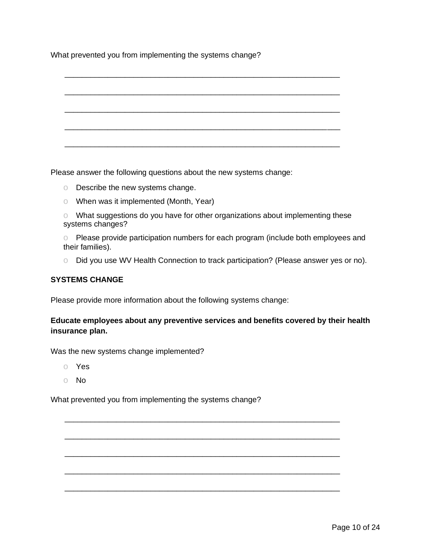What prevented you from implementing the systems change?



Please answer the following questions about the new systems change:

- o Describe the new systems change.
- o When was it implemented (Month, Year)
- o What suggestions do you have for other organizations about implementing these systems changes?
- o Please provide participation numbers for each program (include both employees and their families).
- o Did you use WV Health Connection to track participation? (Please answer yes or no).

# **SYSTEMS CHANGE**

Please provide more information about the following systems change:

# **Educate employees about any preventive services and benefits covered by their health insurance plan.**

\_\_\_\_\_\_\_\_\_\_\_\_\_\_\_\_\_\_\_\_\_\_\_\_\_\_\_\_\_\_\_\_\_\_\_\_\_\_\_\_\_\_\_\_\_\_\_\_\_\_\_\_\_\_\_\_\_\_\_\_\_\_\_\_

\_\_\_\_\_\_\_\_\_\_\_\_\_\_\_\_\_\_\_\_\_\_\_\_\_\_\_\_\_\_\_\_\_\_\_\_\_\_\_\_\_\_\_\_\_\_\_\_\_\_\_\_\_\_\_\_\_\_\_\_\_\_\_\_

\_\_\_\_\_\_\_\_\_\_\_\_\_\_\_\_\_\_\_\_\_\_\_\_\_\_\_\_\_\_\_\_\_\_\_\_\_\_\_\_\_\_\_\_\_\_\_\_\_\_\_\_\_\_\_\_\_\_\_\_\_\_\_\_

\_\_\_\_\_\_\_\_\_\_\_\_\_\_\_\_\_\_\_\_\_\_\_\_\_\_\_\_\_\_\_\_\_\_\_\_\_\_\_\_\_\_\_\_\_\_\_\_\_\_\_\_\_\_\_\_\_\_\_\_\_\_\_\_

\_\_\_\_\_\_\_\_\_\_\_\_\_\_\_\_\_\_\_\_\_\_\_\_\_\_\_\_\_\_\_\_\_\_\_\_\_\_\_\_\_\_\_\_\_\_\_\_\_\_\_\_\_\_\_\_\_\_\_\_\_\_\_\_

Was the new systems change implemented?

- o Yes
- o No

What prevented you from implementing the systems change?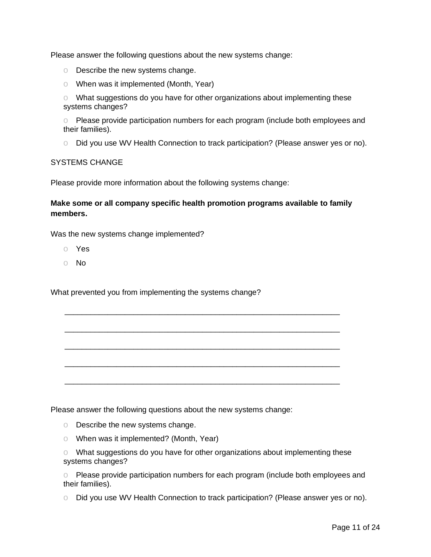Please answer the following questions about the new systems change:

- o Describe the new systems change.
- o When was it implemented (Month, Year)

o What suggestions do you have for other organizations about implementing these systems changes?

o Please provide participation numbers for each program (include both employees and their families).

o Did you use WV Health Connection to track participation? (Please answer yes or no).

#### SYSTEMS CHANGE

Please provide more information about the following systems change:

**Make some or all company specific health promotion programs available to family members.**

\_\_\_\_\_\_\_\_\_\_\_\_\_\_\_\_\_\_\_\_\_\_\_\_\_\_\_\_\_\_\_\_\_\_\_\_\_\_\_\_\_\_\_\_\_\_\_\_\_\_\_\_\_\_\_\_\_\_\_\_\_\_\_\_

\_\_\_\_\_\_\_\_\_\_\_\_\_\_\_\_\_\_\_\_\_\_\_\_\_\_\_\_\_\_\_\_\_\_\_\_\_\_\_\_\_\_\_\_\_\_\_\_\_\_\_\_\_\_\_\_\_\_\_\_\_\_\_\_

\_\_\_\_\_\_\_\_\_\_\_\_\_\_\_\_\_\_\_\_\_\_\_\_\_\_\_\_\_\_\_\_\_\_\_\_\_\_\_\_\_\_\_\_\_\_\_\_\_\_\_\_\_\_\_\_\_\_\_\_\_\_\_\_

\_\_\_\_\_\_\_\_\_\_\_\_\_\_\_\_\_\_\_\_\_\_\_\_\_\_\_\_\_\_\_\_\_\_\_\_\_\_\_\_\_\_\_\_\_\_\_\_\_\_\_\_\_\_\_\_\_\_\_\_\_\_\_\_

\_\_\_\_\_\_\_\_\_\_\_\_\_\_\_\_\_\_\_\_\_\_\_\_\_\_\_\_\_\_\_\_\_\_\_\_\_\_\_\_\_\_\_\_\_\_\_\_\_\_\_\_\_\_\_\_\_\_\_\_\_\_\_\_

Was the new systems change implemented?

- o Yes
- o No

What prevented you from implementing the systems change?

Please answer the following questions about the new systems change:

- o Describe the new systems change.
- o When was it implemented? (Month, Year)

o What suggestions do you have for other organizations about implementing these systems changes?

o Please provide participation numbers for each program (include both employees and their families).

o Did you use WV Health Connection to track participation? (Please answer yes or no).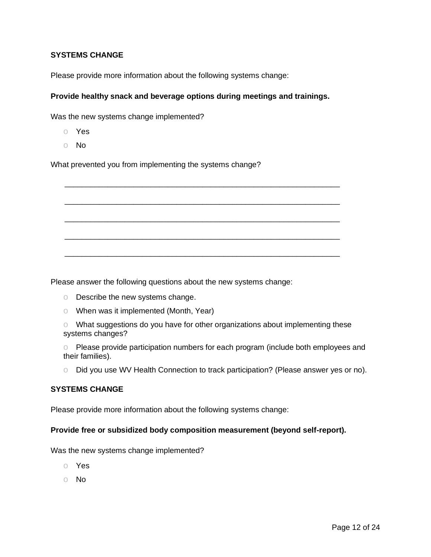# **SYSTEMS CHANGE**

Please provide more information about the following systems change:

## **Provide healthy snack and beverage options during meetings and trainings.**

\_\_\_\_\_\_\_\_\_\_\_\_\_\_\_\_\_\_\_\_\_\_\_\_\_\_\_\_\_\_\_\_\_\_\_\_\_\_\_\_\_\_\_\_\_\_\_\_\_\_\_\_\_\_\_\_\_\_\_\_\_\_\_\_

\_\_\_\_\_\_\_\_\_\_\_\_\_\_\_\_\_\_\_\_\_\_\_\_\_\_\_\_\_\_\_\_\_\_\_\_\_\_\_\_\_\_\_\_\_\_\_\_\_\_\_\_\_\_\_\_\_\_\_\_\_\_\_\_

\_\_\_\_\_\_\_\_\_\_\_\_\_\_\_\_\_\_\_\_\_\_\_\_\_\_\_\_\_\_\_\_\_\_\_\_\_\_\_\_\_\_\_\_\_\_\_\_\_\_\_\_\_\_\_\_\_\_\_\_\_\_\_\_

\_\_\_\_\_\_\_\_\_\_\_\_\_\_\_\_\_\_\_\_\_\_\_\_\_\_\_\_\_\_\_\_\_\_\_\_\_\_\_\_\_\_\_\_\_\_\_\_\_\_\_\_\_\_\_\_\_\_\_\_\_\_\_\_

\_\_\_\_\_\_\_\_\_\_\_\_\_\_\_\_\_\_\_\_\_\_\_\_\_\_\_\_\_\_\_\_\_\_\_\_\_\_\_\_\_\_\_\_\_\_\_\_\_\_\_\_\_\_\_\_\_\_\_\_\_\_\_\_

Was the new systems change implemented?

- o Yes
- o No

What prevented you from implementing the systems change?

Please answer the following questions about the new systems change:

- o Describe the new systems change.
- o When was it implemented (Month, Year)
- o What suggestions do you have for other organizations about implementing these systems changes?

o Please provide participation numbers for each program (include both employees and their families).

o Did you use WV Health Connection to track participation? (Please answer yes or no).

## **SYSTEMS CHANGE**

Please provide more information about the following systems change:

#### **Provide free or subsidized body composition measurement (beyond self-report).**

Was the new systems change implemented?

- o Yes
- o No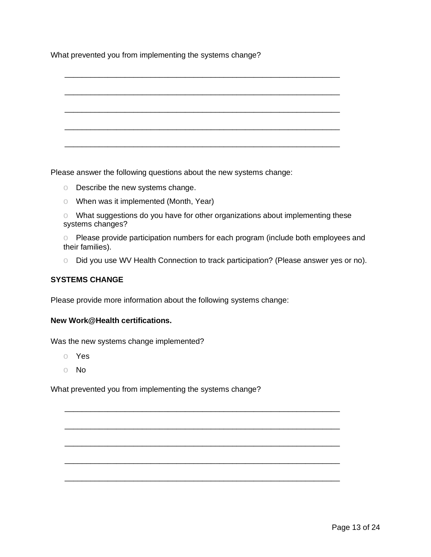What prevented you from implementing the systems change?



Please answer the following questions about the new systems change:

- o Describe the new systems change.
- o When was it implemented (Month, Year)
- o What suggestions do you have for other organizations about implementing these systems changes?
- o Please provide participation numbers for each program (include both employees and their families).
- o Did you use WV Health Connection to track participation? (Please answer yes or no).

\_\_\_\_\_\_\_\_\_\_\_\_\_\_\_\_\_\_\_\_\_\_\_\_\_\_\_\_\_\_\_\_\_\_\_\_\_\_\_\_\_\_\_\_\_\_\_\_\_\_\_\_\_\_\_\_\_\_\_\_\_\_\_\_

\_\_\_\_\_\_\_\_\_\_\_\_\_\_\_\_\_\_\_\_\_\_\_\_\_\_\_\_\_\_\_\_\_\_\_\_\_\_\_\_\_\_\_\_\_\_\_\_\_\_\_\_\_\_\_\_\_\_\_\_\_\_\_\_

\_\_\_\_\_\_\_\_\_\_\_\_\_\_\_\_\_\_\_\_\_\_\_\_\_\_\_\_\_\_\_\_\_\_\_\_\_\_\_\_\_\_\_\_\_\_\_\_\_\_\_\_\_\_\_\_\_\_\_\_\_\_\_\_

\_\_\_\_\_\_\_\_\_\_\_\_\_\_\_\_\_\_\_\_\_\_\_\_\_\_\_\_\_\_\_\_\_\_\_\_\_\_\_\_\_\_\_\_\_\_\_\_\_\_\_\_\_\_\_\_\_\_\_\_\_\_\_\_

\_\_\_\_\_\_\_\_\_\_\_\_\_\_\_\_\_\_\_\_\_\_\_\_\_\_\_\_\_\_\_\_\_\_\_\_\_\_\_\_\_\_\_\_\_\_\_\_\_\_\_\_\_\_\_\_\_\_\_\_\_\_\_\_

# **SYSTEMS CHANGE**

Please provide more information about the following systems change:

## **New Work@Health certifications.**

Was the new systems change implemented?

- o Yes
- o No

What prevented you from implementing the systems change?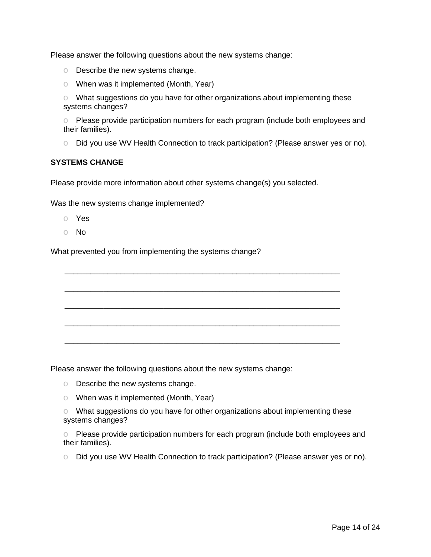Please answer the following questions about the new systems change:

- o Describe the new systems change.
- o When was it implemented (Month, Year)

o What suggestions do you have for other organizations about implementing these systems changes?

o Please provide participation numbers for each program (include both employees and their families).

o Did you use WV Health Connection to track participation? (Please answer yes or no).

## **SYSTEMS CHANGE**

Please provide more information about other systems change(s) you selected.

\_\_\_\_\_\_\_\_\_\_\_\_\_\_\_\_\_\_\_\_\_\_\_\_\_\_\_\_\_\_\_\_\_\_\_\_\_\_\_\_\_\_\_\_\_\_\_\_\_\_\_\_\_\_\_\_\_\_\_\_\_\_\_\_

\_\_\_\_\_\_\_\_\_\_\_\_\_\_\_\_\_\_\_\_\_\_\_\_\_\_\_\_\_\_\_\_\_\_\_\_\_\_\_\_\_\_\_\_\_\_\_\_\_\_\_\_\_\_\_\_\_\_\_\_\_\_\_\_

\_\_\_\_\_\_\_\_\_\_\_\_\_\_\_\_\_\_\_\_\_\_\_\_\_\_\_\_\_\_\_\_\_\_\_\_\_\_\_\_\_\_\_\_\_\_\_\_\_\_\_\_\_\_\_\_\_\_\_\_\_\_\_\_

\_\_\_\_\_\_\_\_\_\_\_\_\_\_\_\_\_\_\_\_\_\_\_\_\_\_\_\_\_\_\_\_\_\_\_\_\_\_\_\_\_\_\_\_\_\_\_\_\_\_\_\_\_\_\_\_\_\_\_\_\_\_\_\_

\_\_\_\_\_\_\_\_\_\_\_\_\_\_\_\_\_\_\_\_\_\_\_\_\_\_\_\_\_\_\_\_\_\_\_\_\_\_\_\_\_\_\_\_\_\_\_\_\_\_\_\_\_\_\_\_\_\_\_\_\_\_\_\_

Was the new systems change implemented?

- o Yes
- o No

What prevented you from implementing the systems change?

Please answer the following questions about the new systems change:

- o Describe the new systems change.
- o When was it implemented (Month, Year)
- o What suggestions do you have for other organizations about implementing these systems changes?

o Please provide participation numbers for each program (include both employees and their families).

o Did you use WV Health Connection to track participation? (Please answer yes or no).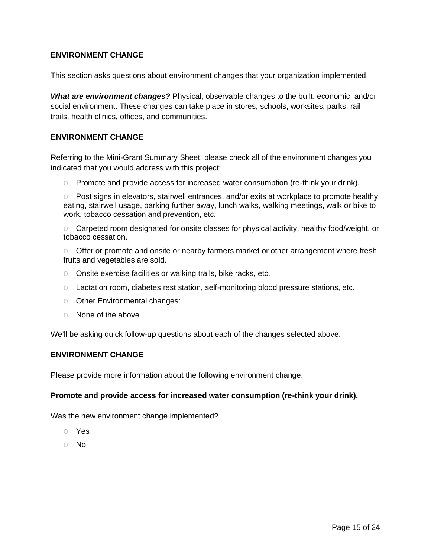# **ENVIRONMENT CHANGE**

This section asks questions about environment changes that your organization implemented.

*What are environment changes?* Physical, observable changes to the built, economic, and/or social environment. These changes can take place in stores, schools, worksites, parks, rail trails, health clinics, offices, and communities.

# **ENVIRONMENT CHANGE**

Referring to the Mini-Grant Summary Sheet, please check all of the environment changes you indicated that you would address with this project:

o Promote and provide access for increased water consumption (re-think your drink).

o Post signs in elevators, stairwell entrances, and/or exits at workplace to promote healthy eating, stairwell usage, parking further away, lunch walks, walking meetings, walk or bike to work, tobacco cessation and prevention, etc.

o Carpeted room designated for onsite classes for physical activity, healthy food/weight, or tobacco cessation.

o Offer or promote and onsite or nearby farmers market or other arrangement where fresh fruits and vegetables are sold.

- o Onsite exercise facilities or walking trails, bike racks, etc.
- o Lactation room, diabetes rest station, self-monitoring blood pressure stations, etc.
- o Other Environmental changes:
- o None of the above

We'll be asking quick follow-up questions about each of the changes selected above.

## **ENVIRONMENT CHANGE**

Please provide more information about the following environment change:

#### **Promote and provide access for increased water consumption (re-think your drink).**

Was the new environment change implemented?

- o Yes
- o No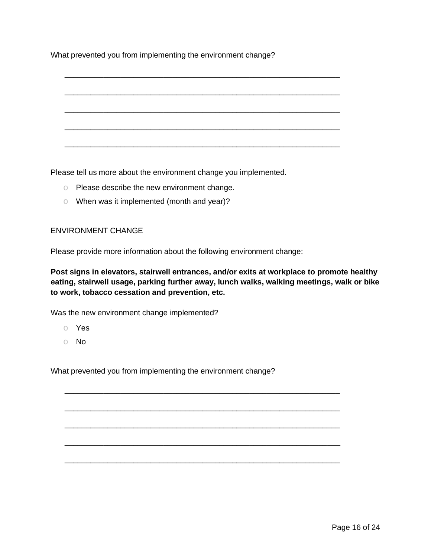What prevented you from implementing the environment change?

\_\_\_\_\_\_\_\_\_\_\_\_\_\_\_\_\_\_\_\_\_\_\_\_\_\_\_\_\_\_\_\_\_\_\_\_\_\_\_\_\_\_\_\_\_\_\_\_\_\_\_\_\_\_\_\_\_\_\_\_\_\_\_\_ \_\_\_\_\_\_\_\_\_\_\_\_\_\_\_\_\_\_\_\_\_\_\_\_\_\_\_\_\_\_\_\_\_\_\_\_\_\_\_\_\_\_\_\_\_\_\_\_\_\_\_\_\_\_\_\_\_\_\_\_\_\_\_\_ \_\_\_\_\_\_\_\_\_\_\_\_\_\_\_\_\_\_\_\_\_\_\_\_\_\_\_\_\_\_\_\_\_\_\_\_\_\_\_\_\_\_\_\_\_\_\_\_\_\_\_\_\_\_\_\_\_\_\_\_\_\_\_\_ \_\_\_\_\_\_\_\_\_\_\_\_\_\_\_\_\_\_\_\_\_\_\_\_\_\_\_\_\_\_\_\_\_\_\_\_\_\_\_\_\_\_\_\_\_\_\_\_\_\_\_\_\_\_\_\_\_\_\_\_\_\_\_\_ \_\_\_\_\_\_\_\_\_\_\_\_\_\_\_\_\_\_\_\_\_\_\_\_\_\_\_\_\_\_\_\_\_\_\_\_\_\_\_\_\_\_\_\_\_\_\_\_\_\_\_\_\_\_\_\_\_\_\_\_\_\_\_\_

Please tell us more about the environment change you implemented.

- o Please describe the new environment change.
- o When was it implemented (month and year)?

#### ENVIRONMENT CHANGE

Please provide more information about the following environment change:

**Post signs in elevators, stairwell entrances, and/or exits at workplace to promote healthy eating, stairwell usage, parking further away, lunch walks, walking meetings, walk or bike to work, tobacco cessation and prevention, etc.**

\_\_\_\_\_\_\_\_\_\_\_\_\_\_\_\_\_\_\_\_\_\_\_\_\_\_\_\_\_\_\_\_\_\_\_\_\_\_\_\_\_\_\_\_\_\_\_\_\_\_\_\_\_\_\_\_\_\_\_\_\_\_\_\_

\_\_\_\_\_\_\_\_\_\_\_\_\_\_\_\_\_\_\_\_\_\_\_\_\_\_\_\_\_\_\_\_\_\_\_\_\_\_\_\_\_\_\_\_\_\_\_\_\_\_\_\_\_\_\_\_\_\_\_\_\_\_\_\_

\_\_\_\_\_\_\_\_\_\_\_\_\_\_\_\_\_\_\_\_\_\_\_\_\_\_\_\_\_\_\_\_\_\_\_\_\_\_\_\_\_\_\_\_\_\_\_\_\_\_\_\_\_\_\_\_\_\_\_\_\_\_\_\_

\_\_\_\_\_\_\_\_\_\_\_\_\_\_\_\_\_\_\_\_\_\_\_\_\_\_\_\_\_\_\_\_\_\_\_\_\_\_\_\_\_\_\_\_\_\_\_\_\_\_\_\_\_\_\_\_\_\_\_\_\_\_\_\_

\_\_\_\_\_\_\_\_\_\_\_\_\_\_\_\_\_\_\_\_\_\_\_\_\_\_\_\_\_\_\_\_\_\_\_\_\_\_\_\_\_\_\_\_\_\_\_\_\_\_\_\_\_\_\_\_\_\_\_\_\_\_\_\_

Was the new environment change implemented?

- o Yes
- o No

What prevented you from implementing the environment change?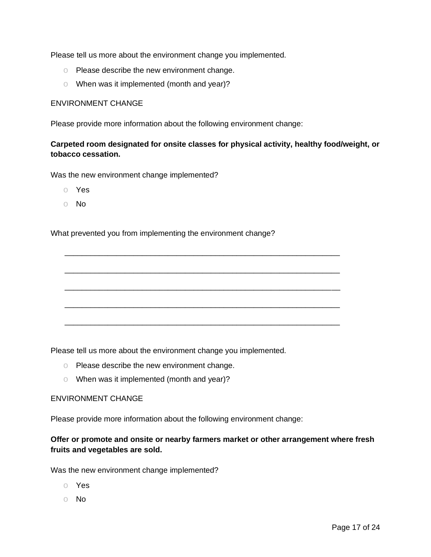Please tell us more about the environment change you implemented.

- o Please describe the new environment change.
- o When was it implemented (month and year)?

#### ENVIRONMENT CHANGE

Please provide more information about the following environment change:

# **Carpeted room designated for onsite classes for physical activity, healthy food/weight, or tobacco cessation.**

\_\_\_\_\_\_\_\_\_\_\_\_\_\_\_\_\_\_\_\_\_\_\_\_\_\_\_\_\_\_\_\_\_\_\_\_\_\_\_\_\_\_\_\_\_\_\_\_\_\_\_\_\_\_\_\_\_\_\_\_\_\_\_\_

\_\_\_\_\_\_\_\_\_\_\_\_\_\_\_\_\_\_\_\_\_\_\_\_\_\_\_\_\_\_\_\_\_\_\_\_\_\_\_\_\_\_\_\_\_\_\_\_\_\_\_\_\_\_\_\_\_\_\_\_\_\_\_\_

\_\_\_\_\_\_\_\_\_\_\_\_\_\_\_\_\_\_\_\_\_\_\_\_\_\_\_\_\_\_\_\_\_\_\_\_\_\_\_\_\_\_\_\_\_\_\_\_\_\_\_\_\_\_\_\_\_\_\_\_\_\_\_\_

\_\_\_\_\_\_\_\_\_\_\_\_\_\_\_\_\_\_\_\_\_\_\_\_\_\_\_\_\_\_\_\_\_\_\_\_\_\_\_\_\_\_\_\_\_\_\_\_\_\_\_\_\_\_\_\_\_\_\_\_\_\_\_\_

\_\_\_\_\_\_\_\_\_\_\_\_\_\_\_\_\_\_\_\_\_\_\_\_\_\_\_\_\_\_\_\_\_\_\_\_\_\_\_\_\_\_\_\_\_\_\_\_\_\_\_\_\_\_\_\_\_\_\_\_\_\_\_\_

Was the new environment change implemented?

- o Yes
- o No

What prevented you from implementing the environment change?

Please tell us more about the environment change you implemented.

- o Please describe the new environment change.
- o When was it implemented (month and year)?

#### ENVIRONMENT CHANGE

Please provide more information about the following environment change:

# **Offer or promote and onsite or nearby farmers market or other arrangement where fresh fruits and vegetables are sold.**

Was the new environment change implemented?

- o Yes
- o No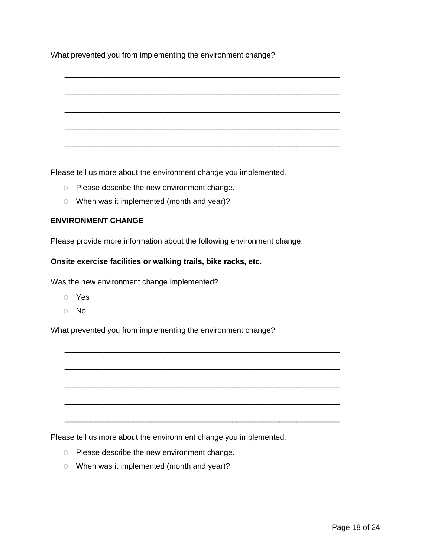What prevented you from implementing the environment change?

\_\_\_\_\_\_\_\_\_\_\_\_\_\_\_\_\_\_\_\_\_\_\_\_\_\_\_\_\_\_\_\_\_\_\_\_\_\_\_\_\_\_\_\_\_\_\_\_\_\_\_\_\_\_\_\_\_\_\_\_\_\_\_\_ \_\_\_\_\_\_\_\_\_\_\_\_\_\_\_\_\_\_\_\_\_\_\_\_\_\_\_\_\_\_\_\_\_\_\_\_\_\_\_\_\_\_\_\_\_\_\_\_\_\_\_\_\_\_\_\_\_\_\_\_\_\_\_\_ \_\_\_\_\_\_\_\_\_\_\_\_\_\_\_\_\_\_\_\_\_\_\_\_\_\_\_\_\_\_\_\_\_\_\_\_\_\_\_\_\_\_\_\_\_\_\_\_\_\_\_\_\_\_\_\_\_\_\_\_\_\_\_\_ \_\_\_\_\_\_\_\_\_\_\_\_\_\_\_\_\_\_\_\_\_\_\_\_\_\_\_\_\_\_\_\_\_\_\_\_\_\_\_\_\_\_\_\_\_\_\_\_\_\_\_\_\_\_\_\_\_\_\_\_\_\_\_\_ \_\_\_\_\_\_\_\_\_\_\_\_\_\_\_\_\_\_\_\_\_\_\_\_\_\_\_\_\_\_\_\_\_\_\_\_\_\_\_\_\_\_\_\_\_\_\_\_\_\_\_\_\_\_\_\_\_\_\_\_\_\_\_\_

Please tell us more about the environment change you implemented.

- o Please describe the new environment change.
- o When was it implemented (month and year)?

# **ENVIRONMENT CHANGE**

Please provide more information about the following environment change:

#### **Onsite exercise facilities or walking trails, bike racks, etc.**

Was the new environment change implemented?

- o Yes
- o No

What prevented you from implementing the environment change?

\_\_\_\_\_\_\_\_\_\_\_\_\_\_\_\_\_\_\_\_\_\_\_\_\_\_\_\_\_\_\_\_\_\_\_\_\_\_\_\_\_\_\_\_\_\_\_\_\_\_\_\_\_\_\_\_\_\_\_\_\_\_\_\_

\_\_\_\_\_\_\_\_\_\_\_\_\_\_\_\_\_\_\_\_\_\_\_\_\_\_\_\_\_\_\_\_\_\_\_\_\_\_\_\_\_\_\_\_\_\_\_\_\_\_\_\_\_\_\_\_\_\_\_\_\_\_\_\_

\_\_\_\_\_\_\_\_\_\_\_\_\_\_\_\_\_\_\_\_\_\_\_\_\_\_\_\_\_\_\_\_\_\_\_\_\_\_\_\_\_\_\_\_\_\_\_\_\_\_\_\_\_\_\_\_\_\_\_\_\_\_\_\_

\_\_\_\_\_\_\_\_\_\_\_\_\_\_\_\_\_\_\_\_\_\_\_\_\_\_\_\_\_\_\_\_\_\_\_\_\_\_\_\_\_\_\_\_\_\_\_\_\_\_\_\_\_\_\_\_\_\_\_\_\_\_\_\_

\_\_\_\_\_\_\_\_\_\_\_\_\_\_\_\_\_\_\_\_\_\_\_\_\_\_\_\_\_\_\_\_\_\_\_\_\_\_\_\_\_\_\_\_\_\_\_\_\_\_\_\_\_\_\_\_\_\_\_\_\_\_\_\_

Please tell us more about the environment change you implemented.

- o Please describe the new environment change.
- o When was it implemented (month and year)?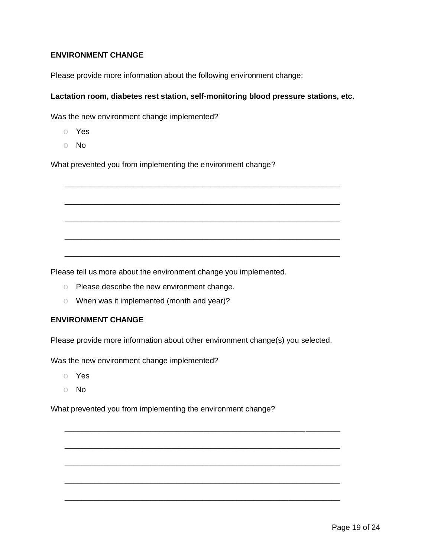# **ENVIRONMENT CHANGE**

Please provide more information about the following environment change:

## **Lactation room, diabetes rest station, self-monitoring blood pressure stations, etc.**

\_\_\_\_\_\_\_\_\_\_\_\_\_\_\_\_\_\_\_\_\_\_\_\_\_\_\_\_\_\_\_\_\_\_\_\_\_\_\_\_\_\_\_\_\_\_\_\_\_\_\_\_\_\_\_\_\_\_\_\_\_\_\_\_

\_\_\_\_\_\_\_\_\_\_\_\_\_\_\_\_\_\_\_\_\_\_\_\_\_\_\_\_\_\_\_\_\_\_\_\_\_\_\_\_\_\_\_\_\_\_\_\_\_\_\_\_\_\_\_\_\_\_\_\_\_\_\_\_

\_\_\_\_\_\_\_\_\_\_\_\_\_\_\_\_\_\_\_\_\_\_\_\_\_\_\_\_\_\_\_\_\_\_\_\_\_\_\_\_\_\_\_\_\_\_\_\_\_\_\_\_\_\_\_\_\_\_\_\_\_\_\_\_

\_\_\_\_\_\_\_\_\_\_\_\_\_\_\_\_\_\_\_\_\_\_\_\_\_\_\_\_\_\_\_\_\_\_\_\_\_\_\_\_\_\_\_\_\_\_\_\_\_\_\_\_\_\_\_\_\_\_\_\_\_\_\_\_

\_\_\_\_\_\_\_\_\_\_\_\_\_\_\_\_\_\_\_\_\_\_\_\_\_\_\_\_\_\_\_\_\_\_\_\_\_\_\_\_\_\_\_\_\_\_\_\_\_\_\_\_\_\_\_\_\_\_\_\_\_\_\_\_

Was the new environment change implemented?

- o Yes
- o No

What prevented you from implementing the environment change?

Please tell us more about the environment change you implemented.

- o Please describe the new environment change.
- o When was it implemented (month and year)?

## **ENVIRONMENT CHANGE**

Please provide more information about other environment change(s) you selected.

\_\_\_\_\_\_\_\_\_\_\_\_\_\_\_\_\_\_\_\_\_\_\_\_\_\_\_\_\_\_\_\_\_\_\_\_\_\_\_\_\_\_\_\_\_\_\_\_\_\_\_\_\_\_\_\_\_\_\_\_\_\_\_\_

\_\_\_\_\_\_\_\_\_\_\_\_\_\_\_\_\_\_\_\_\_\_\_\_\_\_\_\_\_\_\_\_\_\_\_\_\_\_\_\_\_\_\_\_\_\_\_\_\_\_\_\_\_\_\_\_\_\_\_\_\_\_\_\_

\_\_\_\_\_\_\_\_\_\_\_\_\_\_\_\_\_\_\_\_\_\_\_\_\_\_\_\_\_\_\_\_\_\_\_\_\_\_\_\_\_\_\_\_\_\_\_\_\_\_\_\_\_\_\_\_\_\_\_\_\_\_\_\_

\_\_\_\_\_\_\_\_\_\_\_\_\_\_\_\_\_\_\_\_\_\_\_\_\_\_\_\_\_\_\_\_\_\_\_\_\_\_\_\_\_\_\_\_\_\_\_\_\_\_\_\_\_\_\_\_\_\_\_\_\_\_\_\_

\_\_\_\_\_\_\_\_\_\_\_\_\_\_\_\_\_\_\_\_\_\_\_\_\_\_\_\_\_\_\_\_\_\_\_\_\_\_\_\_\_\_\_\_\_\_\_\_\_\_\_\_\_\_\_\_\_\_\_\_\_\_\_\_

Was the new environment change implemented?

- o Yes
- o No

What prevented you from implementing the environment change?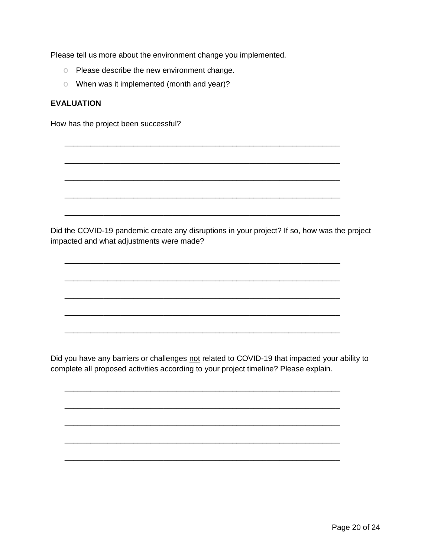Please tell us more about the environment change you implemented.

- o Please describe the new environment change.
- o When was it implemented (month and year)?

# **EVALUATION**

How has the project been successful?

Did the COVID-19 pandemic create any disruptions in your project? If so, how was the project impacted and what adjustments were made?

\_\_\_\_\_\_\_\_\_\_\_\_\_\_\_\_\_\_\_\_\_\_\_\_\_\_\_\_\_\_\_\_\_\_\_\_\_\_\_\_\_\_\_\_\_\_\_\_\_\_\_\_\_\_\_\_\_\_\_\_\_\_\_\_

\_\_\_\_\_\_\_\_\_\_\_\_\_\_\_\_\_\_\_\_\_\_\_\_\_\_\_\_\_\_\_\_\_\_\_\_\_\_\_\_\_\_\_\_\_\_\_\_\_\_\_\_\_\_\_\_\_\_\_\_\_\_\_\_

\_\_\_\_\_\_\_\_\_\_\_\_\_\_\_\_\_\_\_\_\_\_\_\_\_\_\_\_\_\_\_\_\_\_\_\_\_\_\_\_\_\_\_\_\_\_\_\_\_\_\_\_\_\_\_\_\_\_\_\_\_\_\_\_

\_\_\_\_\_\_\_\_\_\_\_\_\_\_\_\_\_\_\_\_\_\_\_\_\_\_\_\_\_\_\_\_\_\_\_\_\_\_\_\_\_\_\_\_\_\_\_\_\_\_\_\_\_\_\_\_\_\_\_\_\_\_\_\_

\_\_\_\_\_\_\_\_\_\_\_\_\_\_\_\_\_\_\_\_\_\_\_\_\_\_\_\_\_\_\_\_\_\_\_\_\_\_\_\_\_\_\_\_\_\_\_\_\_\_\_\_\_\_\_\_\_\_\_\_\_\_\_\_

\_\_\_\_\_\_\_\_\_\_\_\_\_\_\_\_\_\_\_\_\_\_\_\_\_\_\_\_\_\_\_\_\_\_\_\_\_\_\_\_\_\_\_\_\_\_\_\_\_\_\_\_\_\_\_\_\_\_\_\_\_\_\_\_

\_\_\_\_\_\_\_\_\_\_\_\_\_\_\_\_\_\_\_\_\_\_\_\_\_\_\_\_\_\_\_\_\_\_\_\_\_\_\_\_\_\_\_\_\_\_\_\_\_\_\_\_\_\_\_\_\_\_\_\_\_\_\_\_

\_\_\_\_\_\_\_\_\_\_\_\_\_\_\_\_\_\_\_\_\_\_\_\_\_\_\_\_\_\_\_\_\_\_\_\_\_\_\_\_\_\_\_\_\_\_\_\_\_\_\_\_\_\_\_\_\_\_\_\_\_\_\_\_

\_\_\_\_\_\_\_\_\_\_\_\_\_\_\_\_\_\_\_\_\_\_\_\_\_\_\_\_\_\_\_\_\_\_\_\_\_\_\_\_\_\_\_\_\_\_\_\_\_\_\_\_\_\_\_\_\_\_\_\_\_\_\_\_

\_\_\_\_\_\_\_\_\_\_\_\_\_\_\_\_\_\_\_\_\_\_\_\_\_\_\_\_\_\_\_\_\_\_\_\_\_\_\_\_\_\_\_\_\_\_\_\_\_\_\_\_\_\_\_\_\_\_\_\_\_\_\_\_

\_\_\_\_\_\_\_\_\_\_\_\_\_\_\_\_\_\_\_\_\_\_\_\_\_\_\_\_\_\_\_\_\_\_\_\_\_\_\_\_\_\_\_\_\_\_\_\_\_\_\_\_\_\_\_\_\_\_\_\_\_\_\_\_

\_\_\_\_\_\_\_\_\_\_\_\_\_\_\_\_\_\_\_\_\_\_\_\_\_\_\_\_\_\_\_\_\_\_\_\_\_\_\_\_\_\_\_\_\_\_\_\_\_\_\_\_\_\_\_\_\_\_\_\_\_\_\_\_

\_\_\_\_\_\_\_\_\_\_\_\_\_\_\_\_\_\_\_\_\_\_\_\_\_\_\_\_\_\_\_\_\_\_\_\_\_\_\_\_\_\_\_\_\_\_\_\_\_\_\_\_\_\_\_\_\_\_\_\_\_\_\_\_

\_\_\_\_\_\_\_\_\_\_\_\_\_\_\_\_\_\_\_\_\_\_\_\_\_\_\_\_\_\_\_\_\_\_\_\_\_\_\_\_\_\_\_\_\_\_\_\_\_\_\_\_\_\_\_\_\_\_\_\_\_\_\_\_

\_\_\_\_\_\_\_\_\_\_\_\_\_\_\_\_\_\_\_\_\_\_\_\_\_\_\_\_\_\_\_\_\_\_\_\_\_\_\_\_\_\_\_\_\_\_\_\_\_\_\_\_\_\_\_\_\_\_\_\_\_\_\_\_

Did you have any barriers or challenges not related to COVID-19 that impacted your ability to complete all proposed activities according to your project timeline? Please explain.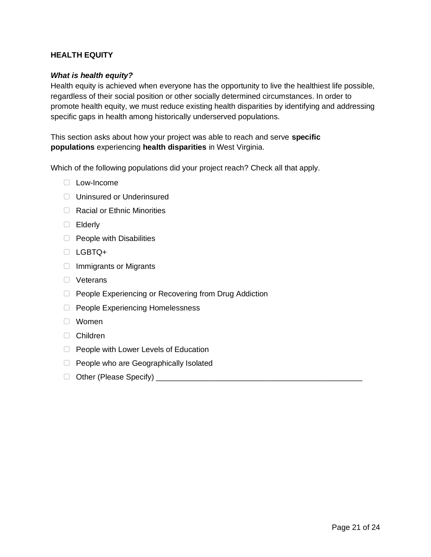# **HEALTH EQUITY**

## *What is health equity?*

Health equity is achieved when everyone has the opportunity to live the healthiest life possible, regardless of their social position or other socially determined circumstances. In order to promote health equity, we must reduce existing health disparities by identifying and addressing specific gaps in health among historically underserved populations.

This section asks about how your project was able to reach and serve **specific populations** experiencing **health disparities** in West Virginia.

Which of the following populations did your project reach? Check all that apply.

- ▢ Low-Income
- ▢ Uninsured or Underinsured
- □ Racial or Ethnic Minorities
- ▢ Elderly
- □ People with Disabilities
- ▢ LGBTQ+
- ▢ Immigrants or Migrants
- ▢ Veterans
- ▢ People Experiencing or Recovering from Drug Addiction
- ▢ People Experiencing Homelessness
- ▢ Women
- ▢ Children
- ▢ People with Lower Levels of Education
- ▢ People who are Geographically Isolated
- ▢ Other (Please Specify) \_\_\_\_\_\_\_\_\_\_\_\_\_\_\_\_\_\_\_\_\_\_\_\_\_\_\_\_\_\_\_\_\_\_\_\_\_\_\_\_\_\_\_\_\_\_\_\_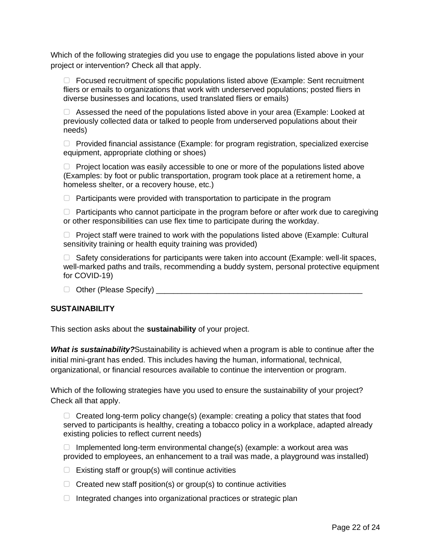Which of the following strategies did you use to engage the populations listed above in your project or intervention? Check all that apply.

▢ Focused recruitment of specific populations listed above (Example: Sent recruitment fliers or emails to organizations that work with underserved populations; posted fliers in diverse businesses and locations, used translated fliers or emails)

▢ Assessed the need of the populations listed above in your area (Example: Looked at previously collected data or talked to people from underserved populations about their needs)

 $\Box$  Provided financial assistance (Example: for program registration, specialized exercise equipment, appropriate clothing or shoes)

▢ Project location was easily accessible to one or more of the populations listed above (Examples: by foot or public transportation, program took place at a retirement home, a homeless shelter, or a recovery house, etc.)

 $\Box$  Participants were provided with transportation to participate in the program

 $\Box$  Participants who cannot participate in the program before or after work due to caregiving or other responsibilities can use flex time to participate during the workday.

▢ Project staff were trained to work with the populations listed above (Example: Cultural sensitivity training or health equity training was provided)

▢ Safety considerations for participants were taken into account (Example: well-lit spaces, well-marked paths and trails, recommending a buddy system, personal protective equipment for COVID-19)

▢ Other (Please Specify) \_\_\_\_\_\_\_\_\_\_\_\_\_\_\_\_\_\_\_\_\_\_\_\_\_\_\_\_\_\_\_\_\_\_\_\_\_\_\_\_\_\_\_\_\_\_\_\_

#### **SUSTAINABILITY**

This section asks about the **sustainability** of your project.

*What is sustainability?*Sustainability is achieved when a program is able to continue after the initial mini-grant has ended. This includes having the human, informational, technical, organizational, or financial resources available to continue the intervention or program.

Which of the following strategies have you used to ensure the sustainability of your project? Check all that apply.

 $\Box$  Created long-term policy change(s) (example: creating a policy that states that food served to participants is healthy, creating a tobacco policy in a workplace, adapted already existing policies to reflect current needs)

▢ Implemented long-term environmental change(s) (example: a workout area was provided to employees, an enhancement to a trail was made, a playground was installed)

- $\Box$  Existing staff or group(s) will continue activities
- $\Box$  Created new staff position(s) or group(s) to continue activities
- ▢ Integrated changes into organizational practices or strategic plan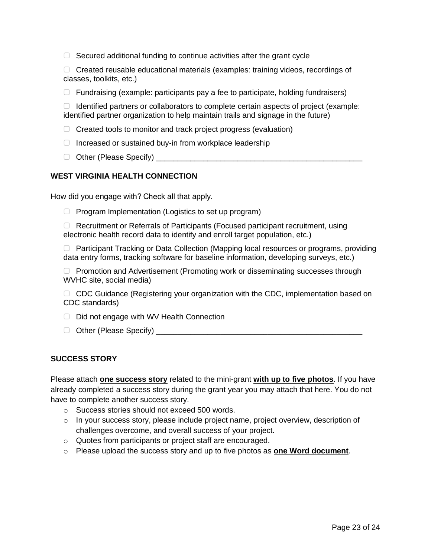$\Box$  Secured additional funding to continue activities after the grant cycle

▢ Created reusable educational materials (examples: training videos, recordings of classes, toolkits, etc.)

▢ Fundraising (example: participants pay a fee to participate, holding fundraisers)

 $\Box$  Identified partners or collaborators to complete certain aspects of project (example: identified partner organization to help maintain trails and signage in the future)

- ▢ Created tools to monitor and track project progress (evaluation)
- ▢ Increased or sustained buy-in from workplace leadership
- □ Other (Please Specify)

# **WEST VIRGINIA HEALTH CONNECTION**

How did you engage with? Check all that apply.

▢ Program Implementation (Logistics to set up program)

▢ Recruitment or Referrals of Participants (Focused participant recruitment, using electronic health record data to identify and enroll target population, etc.)

▢ Participant Tracking or Data Collection (Mapping local resources or programs, providing data entry forms, tracking software for baseline information, developing surveys, etc.)

▢ Promotion and Advertisement (Promoting work or disseminating successes through WVHC site, social media)

□ CDC Guidance (Registering your organization with the CDC, implementation based on CDC standards)

- ▢ Did not engage with WV Health Connection
- □ Other (Please Specify)

#### **SUCCESS STORY**

Please attach **one success story** related to the mini-grant **with up to five photos**. If you have already completed a success story during the grant year you may attach that here. You do not have to complete another success story.

- o Success stories should not exceed 500 words.
- o In your success story, please include project name, project overview, description of challenges overcome, and overall success of your project.
- o Quotes from participants or project staff are encouraged.
- o Please upload the success story and up to five photos as **one Word document**.